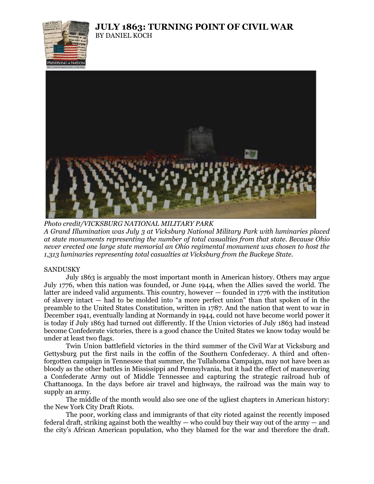## **JULY 1863: TURNING POINT OF CIVIL WAR** BY DANIEL KOCH





*Photo credit/VICKSBURG NATIONAL MILITARY PARK A Grand Illumination was July 3 at Vicksburg National Military Park with luminaries placed at state monuments representing the number of total casualties from that state. Because Ohio never erected one large state memorial an Ohio regimental monument was chosen to host the 1,313 luminaries representing total casualties at Vicksburg from the Buckeye State.*

## SANDUSKY

July 1863 is arguably the most important month in American history. Others may argue July 1776, when this nation was founded, or June 1944, when the Allies saved the world. The latter are indeed valid arguments. This country, however — founded in 1776 with the institution of slavery intact — had to be molded into "a more perfect union" than that spoken of in the preamble to the United States Constitution, written in 1787. And the nation that went to war in December 1941, eventually landing at Normandy in 1944, could not have become world power it is today if July 1863 had turned out differently. If the Union victories of July 1863 had instead become Confederate victories, there is a good chance the United States we know today would be under at least two flags.

Twin Union battlefield victories in the third summer of the Civil War at Vicksburg and Gettysburg put the first nails in the coffin of the Southern Confederacy. A third and oftenforgotten campaign in Tennessee that summer, the Tullahoma Campaign, may not have been as bloody as the other battles in Mississippi and Pennsylvania, but it had the effect of maneuvering a Confederate Army out of Middle Tennessee and capturing the strategic railroad hub of Chattanooga. In the days before air travel and highways, the railroad was the main way to supply an army.

The middle of the month would also see one of the ugliest chapters in American history: the New York City Draft Riots.

The poor, working class and immigrants of that city rioted against the recently imposed federal draft, striking against both the wealthy — who could buy their way out of the army — and the city's African American population, who they blamed for the war and therefore the draft.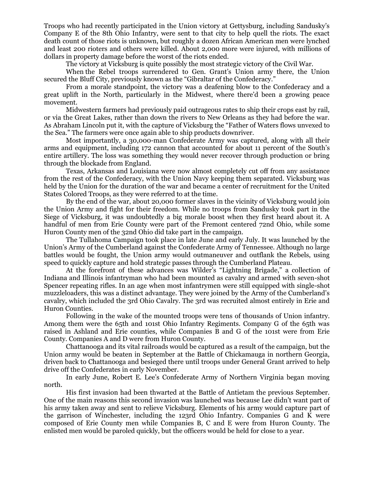Troops who had recently participated in the Union victory at Gettysburg, including Sandusky's Company E of the 8th Ohio Infantry, were sent to that city to help quell the riots. The exact death count of those riots is unknown, but roughly a dozen African American men were lynched and least 200 rioters and others were killed. About 2,000 more were injured, with millions of dollars in property damage before the worst of the riots ended.

The victory at Vicksburg is quite possibly the most strategic victory of the Civil War.

When the Rebel troops surrendered to Gen. Grant's Union army there, the Union secured the Bluff City, previously known as the "Gibraltar of the Confederacy."

From a morale standpoint, the victory was a deafening blow to the Confederacy and a great uplift in the North, particularly in the Midwest, where there'd been a growing peace movement.

Midwestern farmers had previously paid outrageous rates to ship their crops east by rail, or via the Great Lakes, rather than down the rivers to New Orleans as they had before the war. As Abraham Lincoln put it, with the capture of Vicksburg the "Father of Waters flows unvexed to the Sea." The farmers were once again able to ship products downriver.

Most importantly, a 30,000-man Confederate Army was captured, along with all their arms and equipment, including 172 cannon that accounted for about 11 percent of the South's entire artillery. The loss was something they would never recover through production or bring through the blockade from England.

Texas, Arkansas and Louisiana were now almost completely cut off from any assistance from the rest of the Confederacy, with the Union Navy keeping them separated. Vicksburg was held by the Union for the duration of the war and became a center of recruitment for the United States Colored Troops, as they were referred to at the time.

By the end of the war, about 20,000 former slaves in the vicinity of Vicksburg would join the Union Army and fight for their freedom. While no troops from Sandusky took part in the Siege of Vicksburg, it was undoubtedly a big morale boost when they first heard about it. A handful of men from Erie County were part of the Fremont centered 72nd Ohio, while some Huron County men of the 32nd Ohio did take part in the campaign.

The Tullahoma Campaign took place in late June and early July. It was launched by the Union's Army of the Cumberland against the Confederate Army of Tennessee. Although no large battles would be fought, the Union army would outmaneuver and outflank the Rebels, using speed to quickly capture and hold strategic passes through the Cumberland Plateau.

At the forefront of these advances was Wilder's "Lightning Brigade," a collection of Indiana and Illinois infantryman who had been mounted as cavalry and armed with seven-shot Spencer repeating rifles. In an age when most infantrymen were still equipped with single-shot muzzleloaders, this was a distinct advantage. They were joined by the Army of the Cumberland's cavalry, which included the 3rd Ohio Cavalry. The 3rd was recruited almost entirely in Erie and Huron Counties.

Following in the wake of the mounted troops were tens of thousands of Union infantry. Among them were the 65th and 101st Ohio Infantry Regiments. Company G of the 65th was raised in Ashland and Erie counties, while Companies B and G of the 101st were from Erie County. Companies A and D were from Huron County.

Chattanooga and its vital railroads would be captured as a result of the campaign, but the Union army would be beaten in September at the Battle of Chickamauga in northern Georgia, driven back to Chattanooga and besieged there until troops under General Grant arrived to help drive off the Confederates in early November.

In early June, Robert E. Lee's Confederate Army of Northern Virginia began moving north.

His first invasion had been thwarted at the Battle of Antietam the previous September. One of the main reasons this second invasion was launched was because Lee didn't want part of his army taken away and sent to relieve Vicksburg. Elements of his army would capture part of the garrison of Winchester, including the 123rd Ohio Infantry. Companies G and K were composed of Erie County men while Companies B, C and E were from Huron County. The enlisted men would be paroled quickly, but the officers would be held for close to a year.